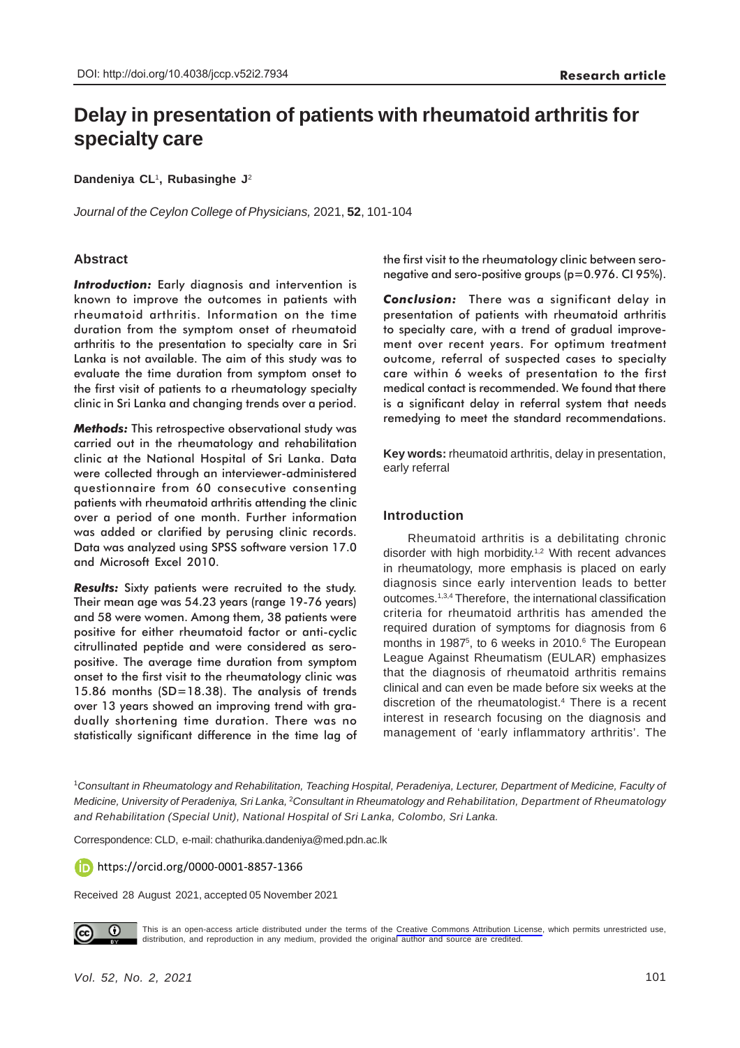# **Delay in presentation of patients with rheumatoid arthritis for specialty care**

**Dandeniya CL**<sup>1</sup> **, Rubasinghe J**<sup>2</sup>

*Journal of the Ceylon College of Physicians,* 2021, **52**, 101-104

# **Abstract**

*Introduction:* Early diagnosis and intervention is known to improve the outcomes in patients with rheumatoid arthritis. Information on the time duration from the symptom onset of rheumatoid arthritis to the presentation to specialty care in Sri Lanka is not available. The aim of this study was to evaluate the time duration from symptom onset to the first visit of patients to a rheumatology specialty clinic in Sri Lanka and changing trends over a period.

*Methods:* This retrospective observational study was carried out in the rheumatology and rehabilitation clinic at the National Hospital of Sri Lanka. Data were collected through an interviewer-administered questionnaire from 60 consecutive consenting patients with rheumatoid arthritis attending the clinic over a period of one month. Further information was added or clarified by perusing clinic records. Data was analyzed using SPSS software version 17.0 and Microsoft Excel 2010.

*Results:* Sixty patients were recruited to the study. Their mean age was 54.23 years (range 19-76 years) and 58 were women. Among them, 38 patients were positive for either rheumatoid factor or anti-cyclic citrullinated peptide and were considered as seropositive. The average time duration from symptom onset to the first visit to the rheumatology clinic was 15.86 months (SD=18.38). The analysis of trends over 13 years showed an improving trend with gradually shortening time duration. There was no statistically significant difference in the time lag of the first visit to the rheumatology clinic between seronegative and sero-positive groups (p=0.976. CI 95%).

*Conclusion:* There was a significant delay in presentation of patients with rheumatoid arthritis to specialty care, with a trend of gradual improvement over recent years. For optimum treatment outcome, referral of suspected cases to specialty care within 6 weeks of presentation to the first medical contact is recommended. We found that there is a significant delay in referral system that needs remedying to meet the standard recommendations.

**Key words:** rheumatoid arthritis, delay in presentation, early referral

# **Introduction**

Rheumatoid arthritis is a debilitating chronic disorder with high morbidity.<sup>1,2</sup> With recent advances in rheumatology, more emphasis is placed on early diagnosis since early intervention leads to better outcomes.1,3,4 Therefore, the international classification criteria for rheumatoid arthritis has amended the required duration of symptoms for diagnosis from 6 months in 1987<sup>5</sup>, to 6 weeks in 2010.<sup>6</sup> The European League Against Rheumatism (EULAR) emphasizes that the diagnosis of rheumatoid arthritis remains clinical and can even be made before six weeks at the discretion of the rheumatologist.4 There is a recent interest in research focusing on the diagnosis and management of 'early inflammatory arthritis'. The

1 *Consultant in Rheumatology and Rehabilitation, Teaching Hospital, Peradeniya, Lecturer, Department of Medicine, Faculty of* Medicine, University of Peradeniya, Sri Lanka, <sup>2</sup>Consultant in Rheumatology and Rehabilitation, Department of Rheumatology *and Rehabilitation (Special Unit), National Hospital of Sri Lanka, Colombo, Sri Lanka.*

Correspondence: CLD, e-mail: chathurika.dandeniya@med.pdn.ac.lk

https://orcid.org/0000-0001-8857-1366

Received 28 August 2021, accepted 05 November 2021



This is an open-access article distributed under the terms of the [Creative Commons Attribution License](https://creativecommons.org/licenses/by/4.0/legalcode), which permits unrestricted use, distribution, and reproduction in any medium, provided the original author and source are credited.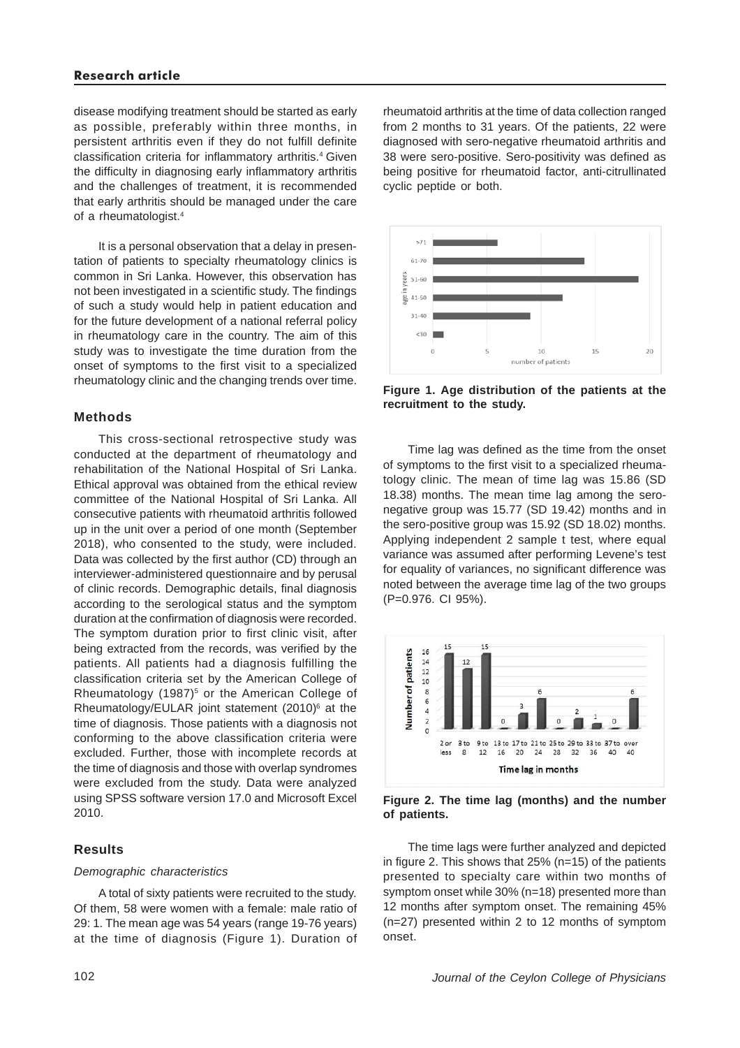# **Research article**

disease modifying treatment should be started as early as possible, preferably within three months, in persistent arthritis even if they do not fulfill definite classification criteria for inflammatory arthritis.<sup>4</sup> Given the difficulty in diagnosing early inflammatory arthritis and the challenges of treatment, it is recommended that early arthritis should be managed under the care of a rheumatologist.4

It is a personal observation that a delay in presentation of patients to specialty rheumatology clinics is common in Sri Lanka. However, this observation has not been investigated in a scientific study. The findings of such a study would help in patient education and for the future development of a national referral policy in rheumatology care in the country. The aim of this study was to investigate the time duration from the onset of symptoms to the first visit to a specialized rheumatology clinic and the changing trends over time.

#### **Methods**

This cross-sectional retrospective study was conducted at the department of rheumatology and rehabilitation of the National Hospital of Sri Lanka. Ethical approval was obtained from the ethical review committee of the National Hospital of Sri Lanka. All consecutive patients with rheumatoid arthritis followed up in the unit over a period of one month (September 2018), who consented to the study, were included. Data was collected by the first author (CD) through an interviewer-administered questionnaire and by perusal of clinic records. Demographic details, final diagnosis according to the serological status and the symptom duration at the confirmation of diagnosis were recorded. The symptom duration prior to first clinic visit, after being extracted from the records, was verified by the patients. All patients had a diagnosis fulfilling the classification criteria set by the American College of Rheumatology (1987) $5$  or the American College of Rheumatology/EULAR joint statement  $(2010)^6$  at the time of diagnosis. Those patients with a diagnosis not conforming to the above classification criteria were excluded. Further, those with incomplete records at the time of diagnosis and those with overlap syndromes were excluded from the study. Data were analyzed using SPSS software version 17.0 and Microsoft Excel 2010.

# **Results**

#### *Demographic characteristics*

A total of sixty patients were recruited to the study. Of them, 58 were women with a female: male ratio of 29: 1. The mean age was 54 years (range 19-76 years) at the time of diagnosis (Figure 1). Duration of

102

rheumatoid arthritis at the time of data collection ranged from 2 months to 31 years. Of the patients, 22 were diagnosed with sero-negative rheumatoid arthritis and 38 were sero-positive. Sero-positivity was defined as being positive for rheumatoid factor, anti-citrullinated cyclic peptide or both.



**Figure 1. Age distribution of the patients at the recruitment to the study.**

Time lag was defined as the time from the onset of symptoms to the first visit to a specialized rheumatology clinic. The mean of time lag was 15.86 (SD 18.38) months. The mean time lag among the seronegative group was 15.77 (SD 19.42) months and in the sero-positive group was 15.92 (SD 18.02) months. Applying independent 2 sample t test, where equal variance was assumed after performing Levene's test for equality of variances, no significant difference was noted between the average time lag of the two groups (P=0.976. CI 95%).



**Figure 2. The time lag (months) and the number of patients.**

The time lags were further analyzed and depicted in figure 2. This shows that 25% (n=15) of the patients presented to specialty care within two months of symptom onset while 30% (n=18) presented more than 12 months after symptom onset. The remaining 45% (n=27) presented within 2 to 12 months of symptom onset.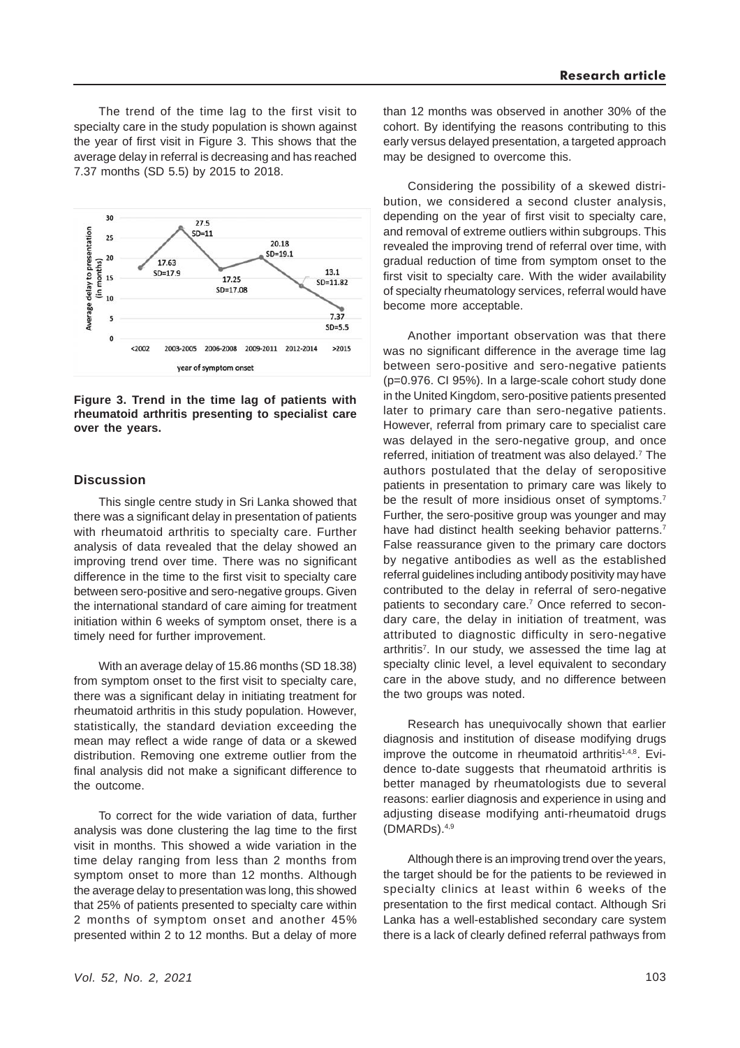The trend of the time lag to the first visit to specialty care in the study population is shown against the year of first visit in Figure 3. This shows that the average delay in referral is decreasing and has reached 7.37 months (SD 5.5) by 2015 to 2018.



#### **Figure 3. Trend in the time lag of patients with rheumatoid arthritis presenting to specialist care over the years.**

#### **Discussion**

This single centre study in Sri Lanka showed that there was a significant delay in presentation of patients with rheumatoid arthritis to specialty care. Further analysis of data revealed that the delay showed an improving trend over time. There was no significant difference in the time to the first visit to specialty care between sero-positive and sero-negative groups. Given the international standard of care aiming for treatment initiation within 6 weeks of symptom onset, there is a timely need for further improvement.

With an average delay of 15.86 months (SD 18.38) from symptom onset to the first visit to specialty care, there was a significant delay in initiating treatment for rheumatoid arthritis in this study population. However, statistically, the standard deviation exceeding the mean may reflect a wide range of data or a skewed distribution. Removing one extreme outlier from the final analysis did not make a significant difference to the outcome.

To correct for the wide variation of data, further analysis was done clustering the lag time to the first visit in months. This showed a wide variation in the time delay ranging from less than 2 months from symptom onset to more than 12 months. Although the average delay to presentation was long, this showed that 25% of patients presented to specialty care within 2 months of symptom onset and another 45% presented within 2 to 12 months. But a delay of more than 12 months was observed in another 30% of the cohort. By identifying the reasons contributing to this early versus delayed presentation, a targeted approach may be designed to overcome this.

Considering the possibility of a skewed distribution, we considered a second cluster analysis, depending on the year of first visit to specialty care, and removal of extreme outliers within subgroups. This revealed the improving trend of referral over time, with gradual reduction of time from symptom onset to the first visit to specialty care. With the wider availability of specialty rheumatology services, referral would have become more acceptable.

Another important observation was that there was no significant difference in the average time lag between sero-positive and sero-negative patients (p=0.976. CI 95%). In a large-scale cohort study done in the United Kingdom, sero-positive patients presented later to primary care than sero-negative patients. However, referral from primary care to specialist care was delayed in the sero-negative group, and once referred, initiation of treatment was also delayed.<sup>7</sup> The authors postulated that the delay of seropositive patients in presentation to primary care was likely to be the result of more insidious onset of symptoms.<sup>7</sup> Further, the sero-positive group was younger and may have had distinct health seeking behavior patterns.<sup>7</sup> False reassurance given to the primary care doctors by negative antibodies as well as the established referral guidelines including antibody positivity may have contributed to the delay in referral of sero-negative patients to secondary care.<sup>7</sup> Once referred to secondary care, the delay in initiation of treatment, was attributed to diagnostic difficulty in sero-negative arthritis7. In our study, we assessed the time lag at specialty clinic level, a level equivalent to secondary care in the above study, and no difference between the two groups was noted.

Research has unequivocally shown that earlier diagnosis and institution of disease modifying drugs improve the outcome in rheumatoid arthritis<sup>1,4,8</sup>. Evidence to-date suggests that rheumatoid arthritis is better managed by rheumatologists due to several reasons: earlier diagnosis and experience in using and adiusting disease modifying anti-rheumatoid drugs (DMARDs).4,9

Although there is an improving trend over the years, the target should be for the patients to be reviewed in specialty clinics at least within 6 weeks of the presentation to the first medical contact. Although Sri Lanka has a well-established secondary care system there is a lack of clearly defined referral pathways from